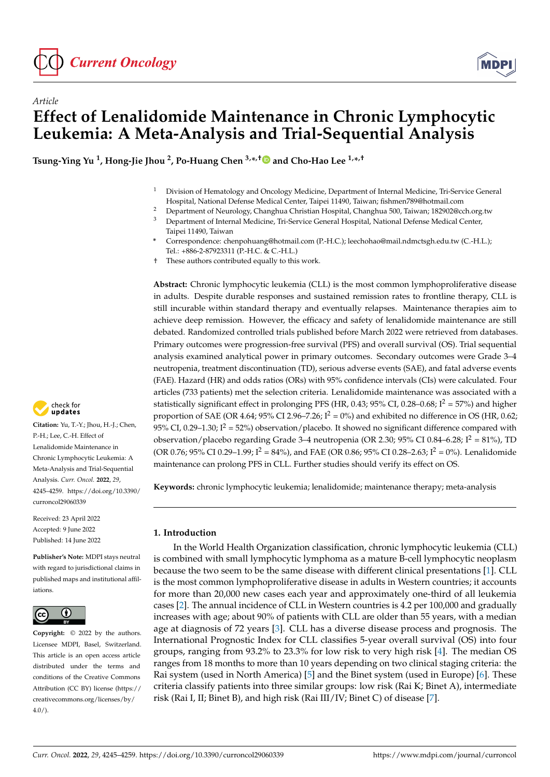

*Article*



# **Effect of Lenalidomide Maintenance in Chronic Lymphocytic Leukemia: A Meta-Analysis and Trial-Sequential Analysis**

**Tsung-Ying Yu <sup>1</sup> , Hong-Jie Jhou <sup>2</sup> , Po-Huang Chen 3,\* ,[†](https://orcid.org/0000-0002-0280-6417) and Cho-Hao Lee 1,\* ,†**

- <sup>1</sup> Division of Hematology and Oncology Medicine, Department of Internal Medicine, Tri-Service General Hospital, National Defense Medical Center, Taipei 11490, Taiwan; fishmen789@hotmail.com
- <sup>2</sup> Department of Neurology, Changhua Christian Hospital, Changhua 500, Taiwan; 182902@cch.org.tw<br><sup>3</sup> Department of Internal Medicine, Tri Service Congral Hospital, Netional Defense Medical Center
- <sup>3</sup> Department of Internal Medicine, Tri-Service General Hospital, National Defense Medical Center, Taipei 11490, Taiwan
- **\*** Correspondence: chenpohuang@hotmail.com (P.-H.C.); leechohao@mail.ndmctsgh.edu.tw (C.-H.L.); Tel.: +886-2-87923311 (P.-H.C. & C.-H.L.)
- † These authors contributed equally to this work.

**Abstract:** Chronic lymphocytic leukemia (CLL) is the most common lymphoproliferative disease in adults. Despite durable responses and sustained remission rates to frontline therapy, CLL is still incurable within standard therapy and eventually relapses. Maintenance therapies aim to achieve deep remission. However, the efficacy and safety of lenalidomide maintenance are still debated. Randomized controlled trials published before March 2022 were retrieved from databases. Primary outcomes were progression-free survival (PFS) and overall survival (OS). Trial sequential analysis examined analytical power in primary outcomes. Secondary outcomes were Grade 3–4 neutropenia, treatment discontinuation (TD), serious adverse events (SAE), and fatal adverse events (FAE). Hazard (HR) and odds ratios (ORs) with 95% confidence intervals (CIs) were calculated. Four articles (733 patients) met the selection criteria. Lenalidomide maintenance was associated with a statistically significant effect in prolonging PFS (HR, 0.43; 95% CI, 0.28–0.68;  $I^2 = 57\%$ ) and higher proportion of SAE (OR 4.64; 95% CI 2.96–7.26;  $I^2 = 0$ %) and exhibited no difference in OS (HR, 0.62; 95% CI, 0.29-1.30;  $I^2 = 52\%$ ) observation/placebo. It showed no significant difference compared with observation/placebo regarding Grade 3–4 neutropenia (OR 2.30;  $95\%$  CI 0.84–6.28;  $I^2 = 81\%$ ), TD (OR 0.76; 95% CI 0.29–1.99;  $I^2 = 84\%$ ), and FAE (OR 0.86; 95% CI 0.28–2.63;  $I^2 = 0\%$ ). Lenalidomide maintenance can prolong PFS in CLL. Further studies should verify its effect on OS.

**Keywords:** chronic lymphocytic leukemia; lenalidomide; maintenance therapy; meta-analysis

## **1. Introduction**

In the World Health Organization classification, chronic lymphocytic leukemia (CLL) is combined with small lymphocytic lymphoma as a mature B-cell lymphocytic neoplasm because the two seem to be the same disease with different clinical presentations [\[1\]](#page-11-0). CLL is the most common lymphoproliferative disease in adults in Western countries; it accounts for more than 20,000 new cases each year and approximately one-third of all leukemia cases [\[2\]](#page-11-1). The annual incidence of CLL in Western countries is 4.2 per 100,000 and gradually increases with age; about 90% of patients with CLL are older than 55 years, with a median age at diagnosis of 72 years [\[3\]](#page-11-2). CLL has a diverse disease process and prognosis. The International Prognostic Index for CLL classifies 5-year overall survival (OS) into four groups, ranging from 93.2% to 23.3% for low risk to very high risk [\[4\]](#page-11-3). The median OS ranges from 18 months to more than 10 years depending on two clinical staging criteria: the Rai system (used in North America) [\[5\]](#page-11-4) and the Binet system (used in Europe) [\[6\]](#page-11-5). These criteria classify patients into three similar groups: low risk (Rai K; Binet A), intermediate risk (Rai I, II; Binet B), and high risk (Rai III/IV; Binet C) of disease [\[7\]](#page-11-6).



**Citation:** Yu, T.-Y.; Jhou, H.-J.; Chen, P.-H.; Lee, C.-H. Effect of Lenalidomide Maintenance in Chronic Lymphocytic Leukemia: A Meta-Analysis and Trial-Sequential Analysis. *Curr. Oncol.* **2022**, *29*, 4245–4259. [https://doi.org/10.3390/](https://doi.org/10.3390/curroncol29060339) [curroncol29060339](https://doi.org/10.3390/curroncol29060339)

Received: 23 April 2022 Accepted: 9 June 2022 Published: 14 June 2022

**Publisher's Note:** MDPI stays neutral with regard to jurisdictional claims in published maps and institutional affiliations.



**Copyright:** © 2022 by the authors. Licensee MDPI, Basel, Switzerland. This article is an open access article distributed under the terms and conditions of the Creative Commons Attribution (CC BY) license [\(https://](https://creativecommons.org/licenses/by/4.0/) [creativecommons.org/licenses/by/](https://creativecommons.org/licenses/by/4.0/)  $4.0/$ ).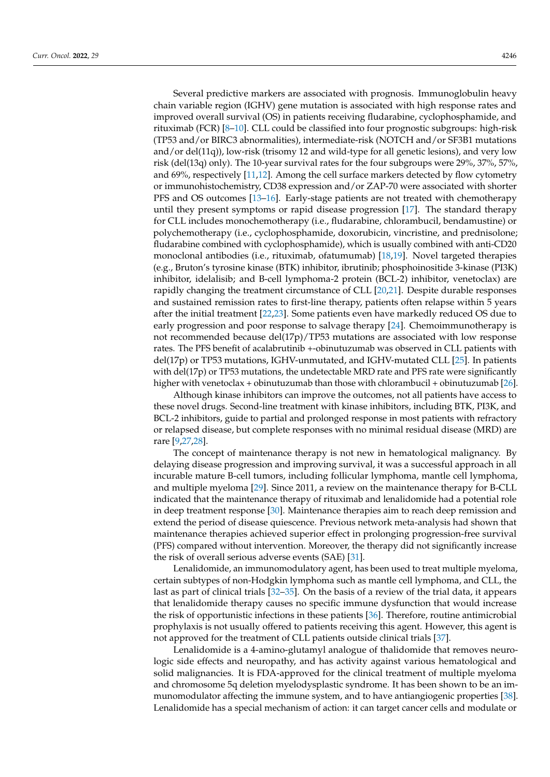Several predictive markers are associated with prognosis. Immunoglobulin heavy chain variable region (IGHV) gene mutation is associated with high response rates and improved overall survival (OS) in patients receiving fludarabine, cyclophosphamide, and rituximab (FCR) [\[8–](#page-11-7)[10\]](#page-11-8). CLL could be classified into four prognostic subgroups: high-risk (TP53 and/or BIRC3 abnormalities), intermediate-risk (NOTCH and/or SF3B1 mutations and/or del(11q)), low-risk (trisomy 12 and wild-type for all genetic lesions), and very low risk (del(13q) only). The 10-year survival rates for the four subgroups were 29%, 37%, 57%, and 69%, respectively [\[11,](#page-11-9)[12\]](#page-11-10). Among the cell surface markers detected by flow cytometry or immunohistochemistry, CD38 expression and/or ZAP-70 were associated with shorter PFS and OS outcomes [\[13](#page-11-11)[–16\]](#page-12-0). Early-stage patients are not treated with chemotherapy until they present symptoms or rapid disease progression [\[17\]](#page-12-1). The standard therapy for CLL includes monochemotherapy (i.e., fludarabine, chlorambucil, bendamustine) or polychemotherapy (i.e., cyclophosphamide, doxorubicin, vincristine, and prednisolone; fludarabine combined with cyclophosphamide), which is usually combined with anti-CD20 monoclonal antibodies (i.e., rituximab, ofatumumab) [\[18,](#page-12-2)[19\]](#page-12-3). Novel targeted therapies (e.g., Bruton's tyrosine kinase (BTK) inhibitor, ibrutinib; phosphoinositide 3-kinase (PI3K) inhibitor, idelalisib; and B-cell lymphoma-2 protein (BCL-2) inhibitor, venetoclax) are rapidly changing the treatment circumstance of CLL [\[20](#page-12-4)[,21\]](#page-12-5). Despite durable responses and sustained remission rates to first-line therapy, patients often relapse within 5 years after the initial treatment [\[22](#page-12-6)[,23\]](#page-12-7). Some patients even have markedly reduced OS due to early progression and poor response to salvage therapy [\[24\]](#page-12-8). Chemoimmunotherapy is not recommended because del(17p)/TP53 mutations are associated with low response rates. The PFS benefit of acalabrutinib +-obinutuzumab was observed in CLL patients with del(17p) or TP53 mutations, IGHV-unmutated, and IGHV-mutated CLL [\[25\]](#page-12-9). In patients with del(17p) or TP53 mutations, the undetectable MRD rate and PFS rate were significantly higher with venetoclax + obinutuzumab than those with chlorambucil + obinutuzumab [\[26\]](#page-12-10).

Although kinase inhibitors can improve the outcomes, not all patients have access to these novel drugs. Second-line treatment with kinase inhibitors, including BTK, PI3K, and BCL-2 inhibitors, guide to partial and prolonged response in most patients with refractory or relapsed disease, but complete responses with no minimal residual disease (MRD) are rare [\[9,](#page-11-12)[27,](#page-12-11)[28\]](#page-12-12).

The concept of maintenance therapy is not new in hematological malignancy. By delaying disease progression and improving survival, it was a successful approach in all incurable mature B-cell tumors, including follicular lymphoma, mantle cell lymphoma, and multiple myeloma [\[29\]](#page-12-13). Since 2011, a review on the maintenance therapy for B-CLL indicated that the maintenance therapy of rituximab and lenalidomide had a potential role in deep treatment response [\[30\]](#page-12-14). Maintenance therapies aim to reach deep remission and extend the period of disease quiescence. Previous network meta-analysis had shown that maintenance therapies achieved superior effect in prolonging progression-free survival (PFS) compared without intervention. Moreover, the therapy did not significantly increase the risk of overall serious adverse events (SAE) [\[31\]](#page-12-15).

Lenalidomide, an immunomodulatory agent, has been used to treat multiple myeloma, certain subtypes of non-Hodgkin lymphoma such as mantle cell lymphoma, and CLL, the last as part of clinical trials [\[32](#page-12-16)[–35\]](#page-12-17). On the basis of a review of the trial data, it appears that lenalidomide therapy causes no specific immune dysfunction that would increase the risk of opportunistic infections in these patients [\[36\]](#page-12-18). Therefore, routine antimicrobial prophylaxis is not usually offered to patients receiving this agent. However, this agent is not approved for the treatment of CLL patients outside clinical trials [\[37\]](#page-12-19).

Lenalidomide is a 4-amino-glutamyl analogue of thalidomide that removes neurologic side effects and neuropathy, and has activity against various hematological and solid malignancies. It is FDA-approved for the clinical treatment of multiple myeloma and chromosome 5q deletion myelodysplastic syndrome. It has been shown to be an immunomodulator affecting the immune system, and to have antiangiogenic properties [\[38\]](#page-12-20). Lenalidomide has a special mechanism of action: it can target cancer cells and modulate or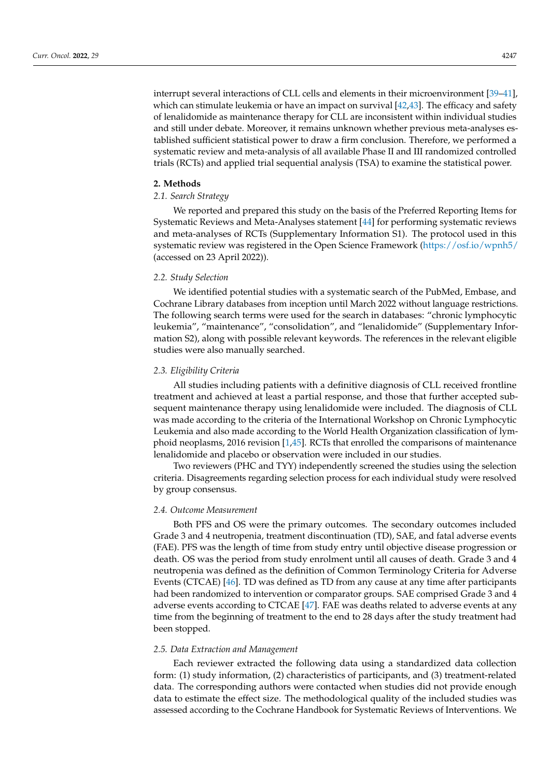interrupt several interactions of CLL cells and elements in their microenvironment [\[39–](#page-13-0)[41\]](#page-13-1), which can stimulate leukemia or have an impact on survival [\[42,](#page-13-2)[43\]](#page-13-3). The efficacy and safety of lenalidomide as maintenance therapy for CLL are inconsistent within individual studies and still under debate. Moreover, it remains unknown whether previous meta-analyses established sufficient statistical power to draw a firm conclusion. Therefore, we performed a systematic review and meta-analysis of all available Phase II and III randomized controlled trials (RCTs) and applied trial sequential analysis (TSA) to examine the statistical power.

## **2. Methods**

# *2.1. Search Strategy*

We reported and prepared this study on the basis of the Preferred Reporting Items for Systematic Reviews and Meta-Analyses statement [\[44\]](#page-13-4) for performing systematic reviews and meta-analyses of RCTs (Supplementary Information S1). The protocol used in this systematic review was registered in the Open Science Framework [\(https://osf.io/wpnh5/](https://osf.io/wpnh5/) (accessed on 23 April 2022)).

#### *2.2. Study Selection*

We identified potential studies with a systematic search of the PubMed, Embase, and Cochrane Library databases from inception until March 2022 without language restrictions. The following search terms were used for the search in databases: "chronic lymphocytic leukemia", "maintenance", "consolidation", and "lenalidomide" (Supplementary Information S2), along with possible relevant keywords. The references in the relevant eligible studies were also manually searched.

# *2.3. Eligibility Criteria*

All studies including patients with a definitive diagnosis of CLL received frontline treatment and achieved at least a partial response, and those that further accepted subsequent maintenance therapy using lenalidomide were included. The diagnosis of CLL was made according to the criteria of the International Workshop on Chronic Lymphocytic Leukemia and also made according to the World Health Organization classification of lymphoid neoplasms, 2016 revision [\[1](#page-11-0)[,45\]](#page-13-5). RCTs that enrolled the comparisons of maintenance lenalidomide and placebo or observation were included in our studies.

Two reviewers (PHC and TYY) independently screened the studies using the selection criteria. Disagreements regarding selection process for each individual study were resolved by group consensus.

# *2.4. Outcome Measurement*

Both PFS and OS were the primary outcomes. The secondary outcomes included Grade 3 and 4 neutropenia, treatment discontinuation (TD), SAE, and fatal adverse events (FAE). PFS was the length of time from study entry until objective disease progression or death. OS was the period from study enrolment until all causes of death. Grade 3 and 4 neutropenia was defined as the definition of Common Terminology Criteria for Adverse Events (CTCAE) [\[46\]](#page-13-6). TD was defined as TD from any cause at any time after participants had been randomized to intervention or comparator groups. SAE comprised Grade 3 and 4 adverse events according to CTCAE [\[47\]](#page-13-7). FAE was deaths related to adverse events at any time from the beginning of treatment to the end to 28 days after the study treatment had been stopped.

## *2.5. Data Extraction and Management*

Each reviewer extracted the following data using a standardized data collection form: (1) study information, (2) characteristics of participants, and (3) treatment-related data. The corresponding authors were contacted when studies did not provide enough data to estimate the effect size. The methodological quality of the included studies was assessed according to the Cochrane Handbook for Systematic Reviews of Interventions. We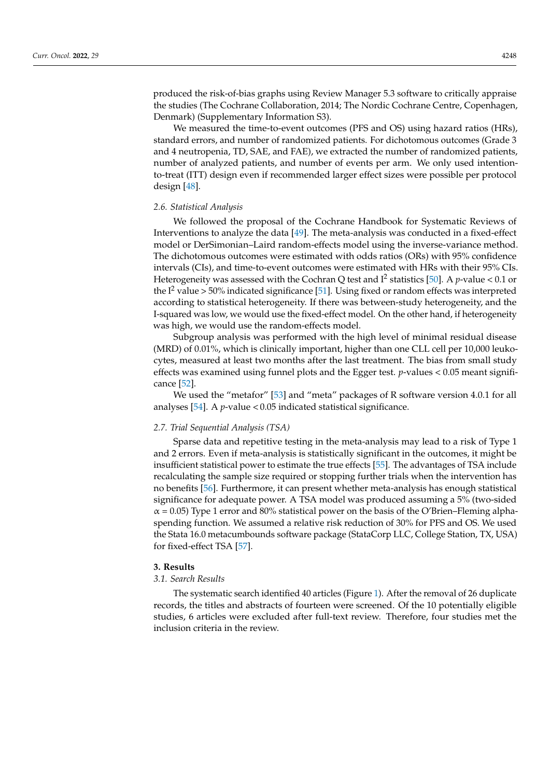produced the risk-of-bias graphs using Review Manager 5.3 software to critically appraise the studies (The Cochrane Collaboration, 2014; The Nordic Cochrane Centre, Copenhagen, Denmark) (Supplementary Information S3).

We measured the time-to-event outcomes (PFS and OS) using hazard ratios (HRs), standard errors, and number of randomized patients. For dichotomous outcomes (Grade 3 and 4 neutropenia, TD, SAE, and FAE), we extracted the number of randomized patients, number of analyzed patients, and number of events per arm. We only used intentionto-treat (ITT) design even if recommended larger effect sizes were possible per protocol design [\[48\]](#page-13-8).

### *2.6. Statistical Analysis*

We followed the proposal of the Cochrane Handbook for Systematic Reviews of Interventions to analyze the data [\[49\]](#page-13-9). The meta-analysis was conducted in a fixed-effect model or DerSimonian–Laird random-effects model using the inverse-variance method. The dichotomous outcomes were estimated with odds ratios (ORs) with 95% confidence intervals (CIs), and time-to-event outcomes were estimated with HRs with their 95% CIs. Heterogeneity was assessed with the Cochran Q test and I<sup>2</sup> statistics [\[50\]](#page-13-10). A *p*-value < 0.1 or the  $I^2$  value > 50% indicated significance [\[51\]](#page-13-11). Using fixed or random effects was interpreted according to statistical heterogeneity. If there was between-study heterogeneity, and the I-squared was low, we would use the fixed-effect model. On the other hand, if heterogeneity was high, we would use the random-effects model.

Subgroup analysis was performed with the high level of minimal residual disease (MRD) of 0.01%, which is clinically important, higher than one CLL cell per 10,000 leukocytes, measured at least two months after the last treatment. The bias from small study effects was examined using funnel plots and the Egger test. *p*-values < 0.05 meant significance [\[52\]](#page-13-12).

We used the "metafor" [\[53\]](#page-13-13) and "meta" packages of R software version 4.0.1 for all analyses [\[54\]](#page-13-14). A *p*-value < 0.05 indicated statistical significance.

## *2.7. Trial Sequential Analysis (TSA)*

Sparse data and repetitive testing in the meta-analysis may lead to a risk of Type 1 and 2 errors. Even if meta-analysis is statistically significant in the outcomes, it might be insufficient statistical power to estimate the true effects [\[55\]](#page-13-15). The advantages of TSA include recalculating the sample size required or stopping further trials when the intervention has no benefits [\[56\]](#page-13-16). Furthermore, it can present whether meta-analysis has enough statistical significance for adequate power. A TSA model was produced assuming a 5% (two-sided  $\alpha$  = 0.05) Type 1 error and 80% statistical power on the basis of the O'Brien–Fleming alphaspending function. We assumed a relative risk reduction of 30% for PFS and OS. We used the Stata 16.0 metacumbounds software package (StataCorp LLC, College Station, TX, USA) for fixed-effect TSA [\[57\]](#page-13-17).

#### **3. Results**

#### *3.1. Search Results*

The systematic search identified 40 articles (Figure [1\)](#page-4-0). After the removal of 26 duplicate records, the titles and abstracts of fourteen were screened. Of the 10 potentially eligible studies, 6 articles were excluded after full-text review. Therefore, four studies met the inclusion criteria in the review.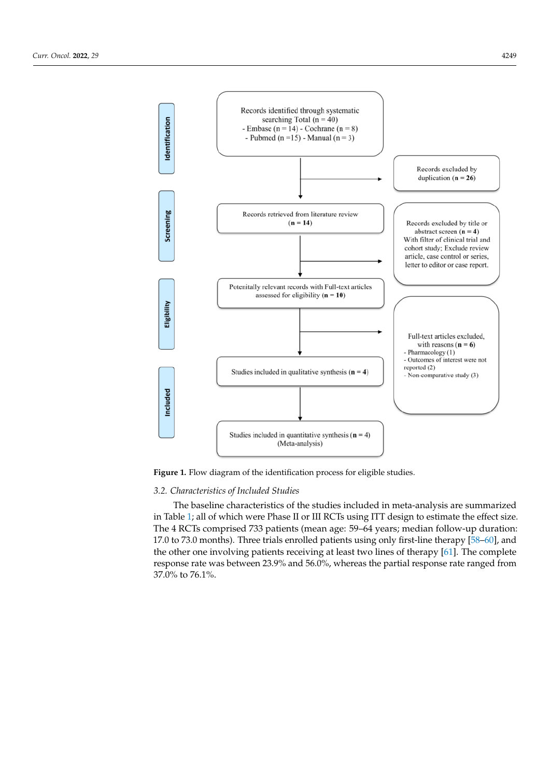<span id="page-4-0"></span>

**Figure 1.** Flow diagram of the identification process for eligible studies. **Figure 1.** Flow diagram of the identification process for eligible studies.

# *3.2. Characteristics of Included Studies*

The baseline characteristics of the studies included in meta-analysis are summarized In fact, 1, an of which were filase in of the sets asing 111 design to estimate the enect size.<br>The 4 RCTs comprised 733 patients (mean age: 59–64 years; median follow-up duration: 17.0 to 73.0 months). Three trials enrolled patients using only first-line therapy  $\left[58-60\right]$ , and the other one involving patients receiving at least two lines of therapy [61]. The complete response rate was between 23.9% and 56.0%, whereas the partial response rate ranged from  $57.0\%$  to  $70.1\%$ . in Table [1;](#page-5-0) all of which were Phase II or III RCTs using ITT design to estimate the effect size. 37.0% to 76.1%.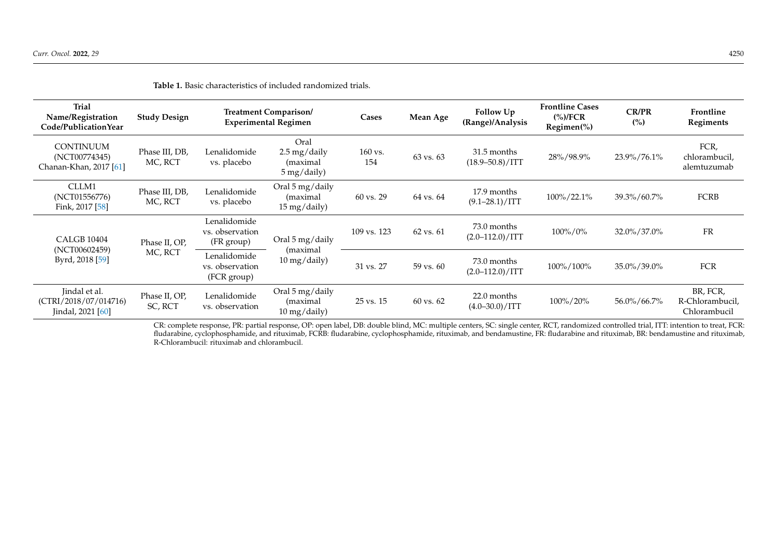| <b>Trial</b><br>Name/Registration<br>Code/PublicationYear   | <b>Study Design</b>       | Treatment Comparison/<br><b>Experimental Regimen</b> |                                                                                               | Cases          | Mean Age             | Follow Up<br>(Range)/Analysis        | <b>Frontline Cases</b><br>$\frac{\frac{6}{2}}{100}$ (%)/FCR<br>$Regionen(\%)$ | <b>CR/PR</b><br>(%) | Frontline<br>Regiments                      |
|-------------------------------------------------------------|---------------------------|------------------------------------------------------|-----------------------------------------------------------------------------------------------|----------------|----------------------|--------------------------------------|-------------------------------------------------------------------------------|---------------------|---------------------------------------------|
| <b>CONTINUUM</b><br>(NCT00774345)<br>Chanan-Khan, 2017 [61] | Phase III, DB,<br>MC, RCT | Lenalidomide<br>vs. placebo                          | Oral<br>$2.5 \,\mathrm{mg}/\mathrm{d}$ aily<br>(maximal<br>$5 \,\mathrm{mg}/\mathrm{d}$ aily) | 160 vs.<br>154 | 63 vs. 63            | 31.5 months<br>$(18.9 - 50.8) / ITT$ | 28%/98.9%                                                                     | 23.9%/76.1%         | FCR,<br>chlorambucil,<br>alemtuzumab        |
| CLLM1<br>(NCT01556776)<br>Fink, 2017 [58]                   | Phase III, DB,<br>MC, RCT | Lenalidomide<br>vs. placebo                          | Oral 5 mg/daily<br>(maximal<br>15 mg/daily)                                                   | 60 vs. 29      | 64 vs. 64            | 17.9 months<br>$(9.1 - 28.1) / ITT$  | 100%/22.1%                                                                    | 39.3%/60.7%         | <b>FCRB</b>                                 |
| <b>CALGB 10404</b><br>(NCT00602459)<br>Byrd, 2018 [59]      | Phase II, OP,<br>MC, RCT  | Lenalidomide<br>vs. observation<br>(FR group)        | Oral 5 mg/daily<br>(maximal<br>10 mg/daily)                                                   | 109 vs. 123    | 62 vs. 61            | 73.0 months<br>$(2.0 - 112.0) / ITT$ | $100\%/0\%$                                                                   | 32.0%/37.0%         | <b>FR</b>                                   |
|                                                             |                           | Lenalidomide<br>vs. observation<br>(FCR group)       |                                                                                               | 31 vs. 27      | 59 vs. 60            | 73.0 months<br>$(2.0 - 112.0) / ITT$ | 100%/100%                                                                     | 35.0%/39.0%         | <b>FCR</b>                                  |
| Jindal et al.<br>(CTRI/2018/07/014716)<br>Jindal, 2021 [60] | Phase II, OP,<br>SC, RCT  | Lenalidomide<br>vs. observation                      | Oral 5 mg/daily<br>(maximal)<br>$10 \,\mathrm{mg}/\mathrm{daily}$                             | $25$ vs. $15$  | $60 \text{ vs. } 62$ | 22.0 months<br>$(4.0 - 30.0) / ITT$  | 100%/20%                                                                      | 56.0%/66.7%         | BR, FCR,<br>R-Chlorambucil,<br>Chlorambucil |

**Table 1.** Basic characteristics of included randomized trials.

<span id="page-5-0"></span>CR: complete response, PR: partial response, OP: open label, DB: double blind, MC: multiple centers, SC: single center, RCT, randomized controlled trial, ITT: intention to treat, FCR: fludarabine, cyclophosphamide, and rituximab, FCRB: fludarabine, cyclophosphamide, rituximab, and bendamustine, FR: fludarabine and rituximab, BR: bendamustine and rituximab, R-Chlorambucil: rituximab and chlorambucil.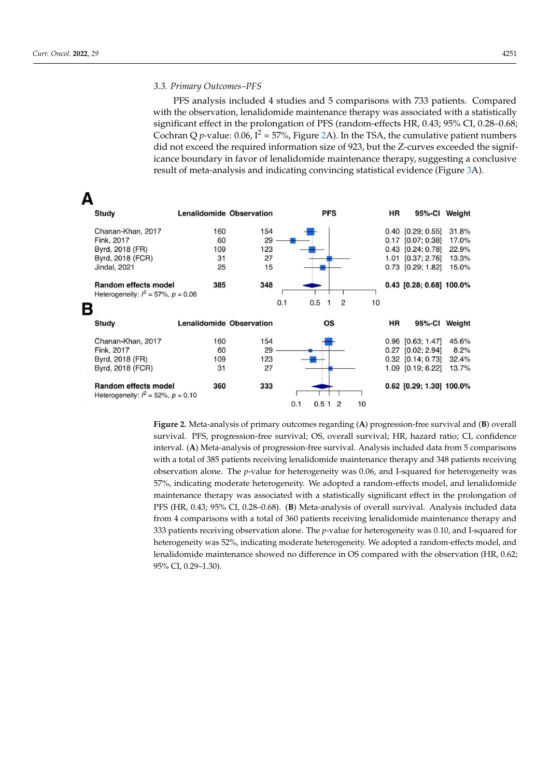PFS analysis included 4 studies and 5 comparisons with 733 patients. Compared with the observation, lenalidomide maintenance therapy was associated with a statistically significant effect in the prolongation of PFS (random-effects HR, 0.43; 95% CI, 0.28–0.68; Cochran Q *p*-value: 0.06,  $I^2 = 57\%$ , Figure [2A](#page-6-0)). In the TSA, the cumulative patient numbers did not exceed the required information size of 923, but the Z-curves exceeded the significance boundary in favor of lenalidomide maintenance therapy, suggesting a conclusive result of meta-analysis and indicating convincing statistical evidence (Figure [3A](#page-7-0)).

<span id="page-6-0"></span>

**Figure 2.** Meta-analysis of primary outcomes regarding (**A**) progression-free survival and (**B**) overall survival. PFS, progression-free survival; OS, overall survival; HR, hazard ratio; CI, confidence interval. (**A**) Meta-analysis of progression-free survival. Analysis included data from 5 comparisons with a total of 385 patients receiving lenalidomide maintenance therapy and 348 patients receiving observation alone. The *p*-value for heterogeneity was 0.06, and I-squared for heterogeneity was 57%, indicating moderate heterogeneity. We adopted a random-effects model, and lenalidomide maintenance therapy was associated with a statistically significant effect in the prolongation of PFS (HR, 0.43; 95% CI, 0.28–0.68). (**B**) Meta-analysis of overall survival. Analysis included data from 4 comparisons with a total of 360 patients receiving lenalidomide maintenance therapy and 333 patients receiving observation alone. The *p*-value for heterogeneity was 0.10, and I-squared for heterogeneity was 52%, indicating moderate heterogeneity. We adopted a random-effects model, and lenalidomide maintenance showed no difference in OS compared with the observation (HR, 0.62; 95% CI, 0.29–1.30).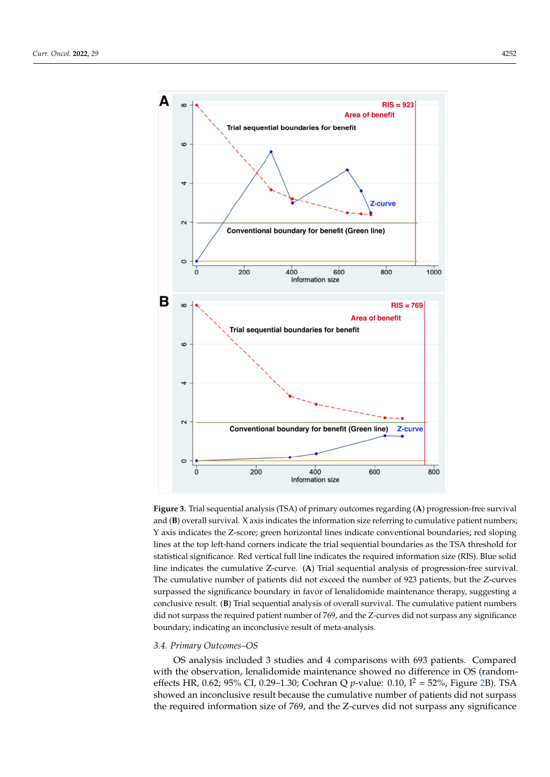<span id="page-7-0"></span>

Figure 3. Trial sequential analysis (TSA) of primary outcomes regarding (A) progression-free survival and (B) overall survival. X axis indicates the information size referring to cumulative patient numbers; Y axis indicates the Z-score; green horizontal lines indicate conventional boundaries; red sloping lines at the top left-hand corners indicate the trial sequential boundaries as the TSA threshold for statistical significance. Red vertical full line indicates the required information size (RIS). Blue solid line indicates the cumulative Z-curve. (A) Trial sequential analysis of progression-free survival. The cumulative number of patients did not exceed the number of 923 patients, but the Z-curves surpassed the significance boundary in favor of lenalidomide maintenance therapy, suggesting a conclusive result. (**B**) Trial sequential analysis of overall survival. The cumulative patient numbers did not surpass the required patient number of 769, and the Z-curves did not surpass any significance nificance boundary, indicating an inconclusive result of meta‐analysis. boundary, indicating an inconclusive result of meta-analysis.

#### *3.4. Primary Outcomes–OS*

OS analysis included 3 studies and 4 comparisons with 693 patients. Compared with the observation, lenalidomide maintenance showed no difference in OS (randomeffects HR, 0.62; 95% CI, 0.29–1.30; Cochran Q *p*-value: 0.10, I<sup>2</sup> = 52%, Figure [2B](#page-6-0)). TSA showed an inconclusive result because the cumulative number of patients did not surpass<br>diagnosis the required information size of 769, and the Z-curves did not surpass any significance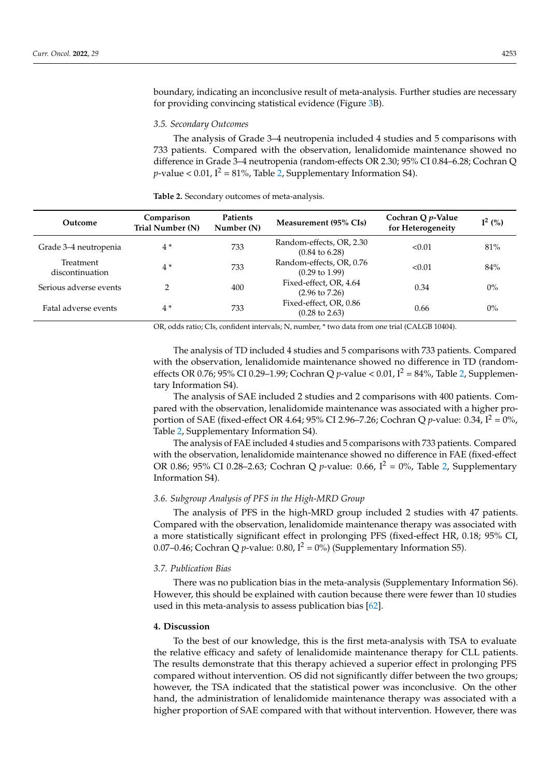boundary, indicating an inconclusive result of meta-analysis. Further studies are necessary for providing convincing statistical evidence (Figure [3B](#page-7-0)).

#### *3.5. Secondary Outcomes*

The analysis of Grade 3–4 neutropenia included 4 studies and 5 comparisons with 733 patients. Compared with the observation, lenalidomide maintenance showed no difference in Grade 3–4 neutropenia (random-effects OR 2.30; 95% CI 0.84–6.28; Cochran Q *p*-value < 0.01,  $I^2 = 81\%$ , Table [2,](#page-8-0) Supplementary Information S4).

<span id="page-8-0"></span>**Table 2.** Secondary outcomes of meta-analysis.

| Outcome                      | Comparison<br>Trial Number (N) | <b>Patients</b><br>Number (N) | Measurement (95% CIs)                                 | Cochran Q p-Value<br>for Heterogeneity | $I^2(%)$ |
|------------------------------|--------------------------------|-------------------------------|-------------------------------------------------------|----------------------------------------|----------|
| Grade 3–4 neutropenia        | $4*$                           | 733                           | Random-effects, OR, 2.30<br>$(0.84 \text{ to } 6.28)$ | < 0.01                                 | 81%      |
| Treatment<br>discontinuation | $4*$                           | 733                           | Random-effects, OR, 0.76<br>$(0.29 \text{ to } 1.99)$ | < 0.01                                 | 84%      |
| Serious adverse events       | $\mathcal{P}$                  | 400                           | Fixed-effect, OR, 4.64<br>$(2.96 \text{ to } 7.26)$   | 0.34                                   | $0\%$    |
| Fatal adverse events         | $4*$                           | 733                           | Fixed-effect, OR, 0.86<br>$(0.28 \text{ to } 2.63)$   | 0.66                                   | $0\%$    |

OR, odds ratio; CIs, confident intervals; N, number, \* two data from one trial (CALGB 10404).

The analysis of TD included 4 studies and 5 comparisons with 733 patients. Compared with the observation, lenalidomide maintenance showed no difference in TD (randomeffects OR 0.76; 95% CI 0.29-1.99; Cochran Q *p*-value < 0.01,  $I^2 = 84$ %, Table [2,](#page-8-0) Supplementary Information S4).

The analysis of SAE included 2 studies and 2 comparisons with 400 patients. Compared with the observation, lenalidomide maintenance was associated with a higher proportion of SAE (fixed-effect OR 4.64; 95% CI 2.96–7.26; Cochran Q *p*-value: 0.34,  $I^2 = 0\%$ , Table [2,](#page-8-0) Supplementary Information S4).

The analysis of FAE included 4 studies and 5 comparisons with 733 patients. Compared with the observation, lenalidomide maintenance showed no difference in FAE (fixed-effect OR 0.86; 95% CI 0.28–2.63; Cochran Q *p*-value: 0.66,  $I^2 = 0$ %, Table [2,](#page-8-0) Supplementary Information S4).

## *3.6. Subgroup Analysis of PFS in the High-MRD Group*

The analysis of PFS in the high-MRD group included 2 studies with 47 patients. Compared with the observation, lenalidomide maintenance therapy was associated with a more statistically significant effect in prolonging PFS (fixed-effect HR, 0.18; 95% CI, 0.07–0.46; Cochran Q *p*-value: 0.80,  $I^2 = 0\%$ ) (Supplementary Information S5).

## *3.7. Publication Bias*

There was no publication bias in the meta-analysis (Supplementary Information S6). However, this should be explained with caution because there were fewer than 10 studies used in this meta-analysis to assess publication bias [\[62\]](#page-13-25).

## **4. Discussion**

To the best of our knowledge, this is the first meta-analysis with TSA to evaluate the relative efficacy and safety of lenalidomide maintenance therapy for CLL patients. The results demonstrate that this therapy achieved a superior effect in prolonging PFS compared without intervention. OS did not significantly differ between the two groups; however, the TSA indicated that the statistical power was inconclusive. On the other hand, the administration of lenalidomide maintenance therapy was associated with a higher proportion of SAE compared with that without intervention. However, there was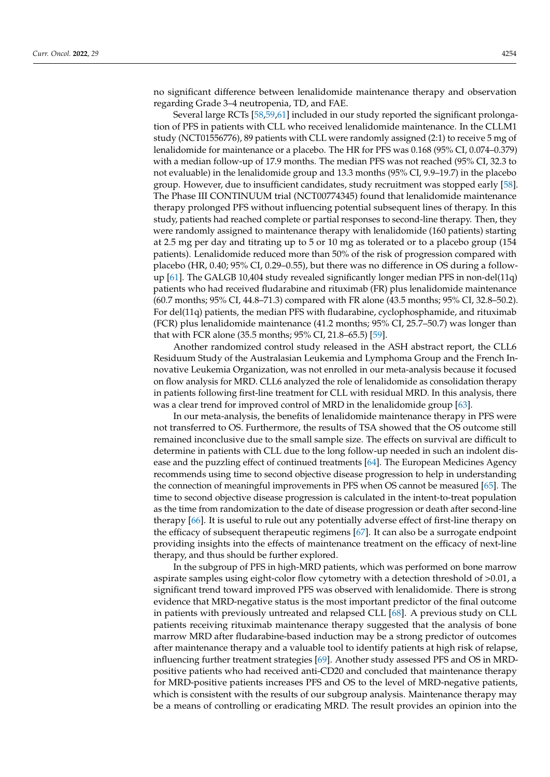no significant difference between lenalidomide maintenance therapy and observation regarding Grade 3–4 neutropenia, TD, and FAE.

Several large RCTs [\[58,](#page-13-18)[59,](#page-13-26)[61\]](#page-13-20) included in our study reported the significant prolongation of PFS in patients with CLL who received lenalidomide maintenance. In the CLLM1 study (NCT01556776), 89 patients with CLL were randomly assigned (2:1) to receive 5 mg of lenalidomide for maintenance or a placebo. The HR for PFS was 0.168 (95% CI, 0.074–0.379) with a median follow-up of 17.9 months. The median PFS was not reached (95% CI, 32.3 to not evaluable) in the lenalidomide group and 13.3 months (95% CI, 9.9–19.7) in the placebo group. However, due to insufficient candidates, study recruitment was stopped early [\[58\]](#page-13-18). The Phase III CONTINUUM trial (NCT00774345) found that lenalidomide maintenance therapy prolonged PFS without influencing potential subsequent lines of therapy. In this study, patients had reached complete or partial responses to second-line therapy. Then, they were randomly assigned to maintenance therapy with lenalidomide (160 patients) starting at 2.5 mg per day and titrating up to 5 or 10 mg as tolerated or to a placebo group (154 patients). Lenalidomide reduced more than 50% of the risk of progression compared with placebo (HR, 0.40; 95% CI, 0.29–0.55), but there was no difference in OS during a followup [\[61\]](#page-13-20). The GALGB 10,404 study revealed significantly longer median PFS in non-del(11q) patients who had received fludarabine and rituximab (FR) plus lenalidomide maintenance (60.7 months; 95% CI, 44.8–71.3) compared with FR alone (43.5 months; 95% CI, 32.8–50.2). For del(11q) patients, the median PFS with fludarabine, cyclophosphamide, and rituximab (FCR) plus lenalidomide maintenance (41.2 months; 95% CI, 25.7–50.7) was longer than that with FCR alone (35.5 months; 95% CI, 21.8–65.5) [\[59\]](#page-13-26).

Another randomized control study released in the ASH abstract report, the CLL6 Residuum Study of the Australasian Leukemia and Lymphoma Group and the French Innovative Leukemia Organization, was not enrolled in our meta-analysis because it focused on flow analysis for MRD. CLL6 analyzed the role of lenalidomide as consolidation therapy in patients following first-line treatment for CLL with residual MRD. In this analysis, there was a clear trend for improved control of MRD in the lenalidomide group [\[63\]](#page-14-0).

In our meta-analysis, the benefits of lenalidomide maintenance therapy in PFS were not transferred to OS. Furthermore, the results of TSA showed that the OS outcome still remained inconclusive due to the small sample size. The effects on survival are difficult to determine in patients with CLL due to the long follow-up needed in such an indolent disease and the puzzling effect of continued treatments [\[64\]](#page-14-1). The European Medicines Agency recommends using time to second objective disease progression to help in understanding the connection of meaningful improvements in PFS when OS cannot be measured [\[65\]](#page-14-2). The time to second objective disease progression is calculated in the intent-to-treat population as the time from randomization to the date of disease progression or death after second-line therapy [\[66\]](#page-14-3). It is useful to rule out any potentially adverse effect of first-line therapy on the efficacy of subsequent therapeutic regimens [\[67\]](#page-14-4). It can also be a surrogate endpoint providing insights into the effects of maintenance treatment on the efficacy of next-line therapy, and thus should be further explored.

In the subgroup of PFS in high-MRD patients, which was performed on bone marrow aspirate samples using eight-color flow cytometry with a detection threshold of >0.01, a significant trend toward improved PFS was observed with lenalidomide. There is strong evidence that MRD-negative status is the most important predictor of the final outcome in patients with previously untreated and relapsed CLL [\[68\]](#page-14-5). A previous study on CLL patients receiving rituximab maintenance therapy suggested that the analysis of bone marrow MRD after fludarabine-based induction may be a strong predictor of outcomes after maintenance therapy and a valuable tool to identify patients at high risk of relapse, influencing further treatment strategies [\[69\]](#page-14-6). Another study assessed PFS and OS in MRDpositive patients who had received anti-CD20 and concluded that maintenance therapy for MRD-positive patients increases PFS and OS to the level of MRD-negative patients, which is consistent with the results of our subgroup analysis. Maintenance therapy may be a means of controlling or eradicating MRD. The result provides an opinion into the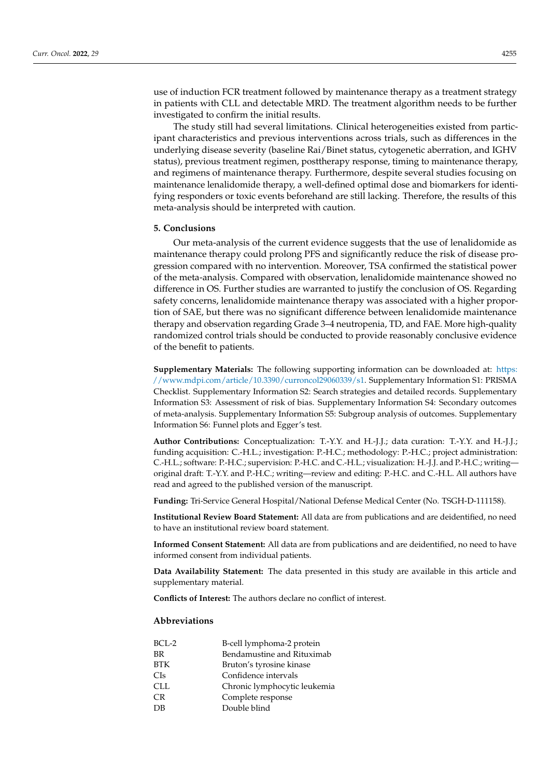use of induction FCR treatment followed by maintenance therapy as a treatment strategy in patients with CLL and detectable MRD. The treatment algorithm needs to be further investigated to confirm the initial results.

The study still had several limitations. Clinical heterogeneities existed from participant characteristics and previous interventions across trials, such as differences in the underlying disease severity (baseline Rai/Binet status, cytogenetic aberration, and IGHV status), previous treatment regimen, posttherapy response, timing to maintenance therapy, and regimens of maintenance therapy. Furthermore, despite several studies focusing on maintenance lenalidomide therapy, a well-defined optimal dose and biomarkers for identifying responders or toxic events beforehand are still lacking. Therefore, the results of this meta-analysis should be interpreted with caution.

#### **5. Conclusions**

Our meta-analysis of the current evidence suggests that the use of lenalidomide as maintenance therapy could prolong PFS and significantly reduce the risk of disease progression compared with no intervention. Moreover, TSA confirmed the statistical power of the meta-analysis. Compared with observation, lenalidomide maintenance showed no difference in OS. Further studies are warranted to justify the conclusion of OS. Regarding safety concerns, lenalidomide maintenance therapy was associated with a higher proportion of SAE, but there was no significant difference between lenalidomide maintenance therapy and observation regarding Grade 3–4 neutropenia, TD, and FAE. More high-quality randomized control trials should be conducted to provide reasonably conclusive evidence of the benefit to patients.

**Supplementary Materials:** The following supporting information can be downloaded at: [https:](https://www.mdpi.com/article/10.3390/curroncol29060339/s1) [//www.mdpi.com/article/10.3390/curroncol29060339/s1.](https://www.mdpi.com/article/10.3390/curroncol29060339/s1) Supplementary Information S1: PRISMA Checklist. Supplementary Information S2: Search strategies and detailed records. Supplementary Information S3: Assessment of risk of bias. Supplementary Information S4: Secondary outcomes of meta-analysis. Supplementary Information S5: Subgroup analysis of outcomes. Supplementary Information S6: Funnel plots and Egger's test.

**Author Contributions:** Conceptualization: T.-Y.Y. and H.-J.J.; data curation: T.-Y.Y. and H.-J.J.; funding acquisition: C.-H.L.; investigation: P.-H.C.; methodology: P.-H.C.; project administration: C.-H.L.; software: P.-H.C.; supervision: P.-H.C. and C.-H.L.; visualization: H.-J.J. and P.-H.C.; writing original draft: T.-Y.Y. and P.-H.C.; writing—review and editing: P.-H.C. and C.-H.L. All authors have read and agreed to the published version of the manuscript.

**Funding:** Tri-Service General Hospital/National Defense Medical Center (No. TSGH-D-111158).

**Institutional Review Board Statement:** All data are from publications and are deidentified, no need to have an institutional review board statement.

**Informed Consent Statement:** All data are from publications and are deidentified, no need to have informed consent from individual patients.

**Data Availability Statement:** The data presented in this study are available in this article and supplementary material.

**Conflicts of Interest:** The authors declare no conflict of interest.

## **Abbreviations**

| B-cell lymphoma-2 protein    |
|------------------------------|
| Bendamustine and Rituximab   |
| Bruton's tyrosine kinase     |
| Confidence intervals         |
| Chronic lymphocytic leukemia |
| Complete response            |
| Double blind                 |
|                              |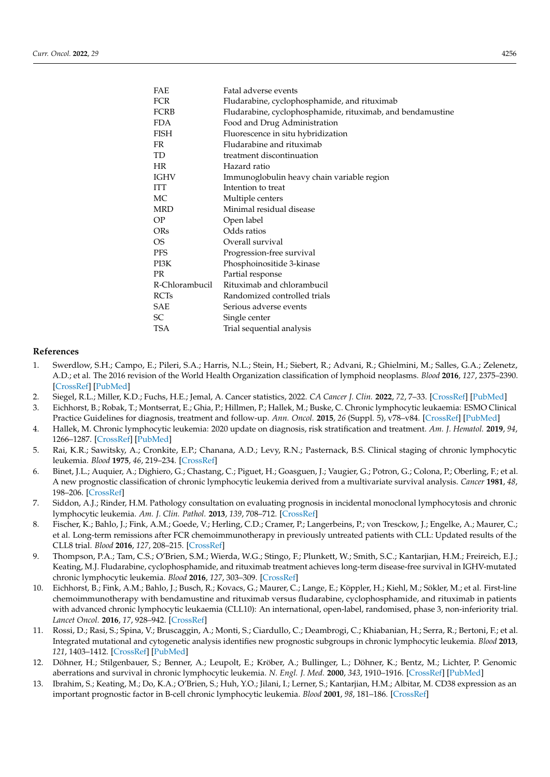| FAE            | Fatal adverse events                                       |
|----------------|------------------------------------------------------------|
| <b>FCR</b>     | Fludarabine, cyclophosphamide, and rituximab               |
| FCRB           | Fludarabine, cyclophosphamide, rituximab, and bendamustine |
| <b>FDA</b>     | Food and Drug Administration                               |
| FISH           | Fluorescence in situ hybridization                         |
| FR             | Fludarabine and rituximab                                  |
| TD             | treatment discontinuation                                  |
| <b>HR</b>      | Hazard ratio                                               |
| IGHV           | Immunoglobulin heavy chain variable region                 |
| ITT            | Intention to treat                                         |
| МC             | Multiple centers                                           |
| MRD            | Minimal residual disease                                   |
| ΟP             | Open label                                                 |
| ORs            | Odds ratios                                                |
| OS.            | Overall survival                                           |
| <b>PFS</b>     | Progression-free survival                                  |
| PI3K           | Phosphoinositide 3-kinase                                  |
| PR             | Partial response                                           |
| R-Chlorambucil | Rituximab and chlorambucil                                 |
| <b>RCTs</b>    | Randomized controlled trials                               |
| SAE            | Serious adverse events                                     |
| SC             | Single center                                              |
| TSA            | Trial sequential analysis                                  |
|                |                                                            |

#### **References**

- <span id="page-11-0"></span>1. Swerdlow, S.H.; Campo, E.; Pileri, S.A.; Harris, N.L.; Stein, H.; Siebert, R.; Advani, R.; Ghielmini, M.; Salles, G.A.; Zelenetz, A.D.; et al. The 2016 revision of the World Health Organization classification of lymphoid neoplasms. *Blood* **2016**, *127*, 2375–2390. [\[CrossRef\]](http://doi.org/10.1182/blood-2016-01-643569) [\[PubMed\]](http://www.ncbi.nlm.nih.gov/pubmed/26980727)
- <span id="page-11-1"></span>2. Siegel, R.L.; Miller, K.D.; Fuchs, H.E.; Jemal, A. Cancer statistics, 2022. *CA Cancer J. Clin.* **2022**, *72*, 7–33. [\[CrossRef\]](http://doi.org/10.3322/caac.21708) [\[PubMed\]](http://www.ncbi.nlm.nih.gov/pubmed/35020204)
- <span id="page-11-2"></span>3. Eichhorst, B.; Robak, T.; Montserrat, E.; Ghia, P.; Hillmen, P.; Hallek, M.; Buske, C. Chronic lymphocytic leukaemia: ESMO Clinical Practice Guidelines for diagnosis, treatment and follow-up. *Ann. Oncol.* **2015**, *26* (Suppl. 5), v78–v84. [\[CrossRef\]](http://doi.org/10.1093/annonc/mdv303) [\[PubMed\]](http://www.ncbi.nlm.nih.gov/pubmed/26314781)
- <span id="page-11-3"></span>4. Hallek, M. Chronic lymphocytic leukemia: 2020 update on diagnosis, risk stratification and treatment. *Am. J. Hematol.* **2019**, *94*, 1266–1287. [\[CrossRef\]](http://doi.org/10.1002/ajh.25595) [\[PubMed\]](http://www.ncbi.nlm.nih.gov/pubmed/31364186)
- <span id="page-11-4"></span>5. Rai, K.R.; Sawitsky, A.; Cronkite, E.P.; Chanana, A.D.; Levy, R.N.; Pasternack, B.S. Clinical staging of chronic lymphocytic leukemia. *Blood* **1975**, *46*, 219–234. [\[CrossRef\]](http://doi.org/10.1182/blood.V46.2.219.219)
- <span id="page-11-5"></span>6. Binet, J.L.; Auquier, A.; Dighiero, G.; Chastang, C.; Piguet, H.; Goasguen, J.; Vaugier, G.; Potron, G.; Colona, P.; Oberling, F.; et al. A new prognostic classification of chronic lymphocytic leukemia derived from a multivariate survival analysis. *Cancer* **1981**, *48*, 198–206. [\[CrossRef\]](http://doi.org/10.1002/1097-0142(19810701)48:1<198::AID-CNCR2820480131>3.0.CO;2-V)
- <span id="page-11-6"></span>7. Siddon, A.J.; Rinder, H.M. Pathology consultation on evaluating prognosis in incidental monoclonal lymphocytosis and chronic lymphocytic leukemia. *Am. J. Clin. Pathol.* **2013**, *139*, 708–712. [\[CrossRef\]](http://doi.org/10.1309/AJCPLIR4GZWX3XKA)
- <span id="page-11-7"></span>8. Fischer, K.; Bahlo, J.; Fink, A.M.; Goede, V.; Herling, C.D.; Cramer, P.; Langerbeins, P.; von Tresckow, J.; Engelke, A.; Maurer, C.; et al. Long-term remissions after FCR chemoimmunotherapy in previously untreated patients with CLL: Updated results of the CLL8 trial. *Blood* **2016**, *127*, 208–215. [\[CrossRef\]](http://doi.org/10.1182/blood-2015-06-651125)
- <span id="page-11-12"></span>9. Thompson, P.A.; Tam, C.S.; O'Brien, S.M.; Wierda, W.G.; Stingo, F.; Plunkett, W.; Smith, S.C.; Kantarjian, H.M.; Freireich, E.J.; Keating, M.J. Fludarabine, cyclophosphamide, and rituximab treatment achieves long-term disease-free survival in IGHV-mutated chronic lymphocytic leukemia. *Blood* **2016**, *127*, 303–309. [\[CrossRef\]](http://doi.org/10.1182/blood-2015-09-667675)
- <span id="page-11-8"></span>10. Eichhorst, B.; Fink, A.M.; Bahlo, J.; Busch, R.; Kovacs, G.; Maurer, C.; Lange, E.; Köppler, H.; Kiehl, M.; Sökler, M.; et al. First-line chemoimmunotherapy with bendamustine and rituximab versus fludarabine, cyclophosphamide, and rituximab in patients with advanced chronic lymphocytic leukaemia (CLL10): An international, open-label, randomised, phase 3, non-inferiority trial. *Lancet Oncol.* **2016**, *17*, 928–942. [\[CrossRef\]](http://doi.org/10.1016/S1470-2045(16)30051-1)
- <span id="page-11-9"></span>11. Rossi, D.; Rasi, S.; Spina, V.; Bruscaggin, A.; Monti, S.; Ciardullo, C.; Deambrogi, C.; Khiabanian, H.; Serra, R.; Bertoni, F.; et al. Integrated mutational and cytogenetic analysis identifies new prognostic subgroups in chronic lymphocytic leukemia. *Blood* **2013**, *121*, 1403–1412. [\[CrossRef\]](http://doi.org/10.1182/blood-2012-09-458265) [\[PubMed\]](http://www.ncbi.nlm.nih.gov/pubmed/23243274)
- <span id="page-11-10"></span>12. Döhner, H.; Stilgenbauer, S.; Benner, A.; Leupolt, E.; Kröber, A.; Bullinger, L.; Döhner, K.; Bentz, M.; Lichter, P. Genomic aberrations and survival in chronic lymphocytic leukemia. *N. Engl. J. Med.* **2000**, *343*, 1910–1916. [\[CrossRef\]](http://doi.org/10.1056/NEJM200012283432602) [\[PubMed\]](http://www.ncbi.nlm.nih.gov/pubmed/11136261)
- <span id="page-11-11"></span>13. Ibrahim, S.; Keating, M.; Do, K.A.; O'Brien, S.; Huh, Y.O.; Jilani, I.; Lerner, S.; Kantarjian, H.M.; Albitar, M. CD38 expression as an important prognostic factor in B-cell chronic lymphocytic leukemia. *Blood* **2001**, *98*, 181–186. [\[CrossRef\]](http://doi.org/10.1182/blood.V98.1.181)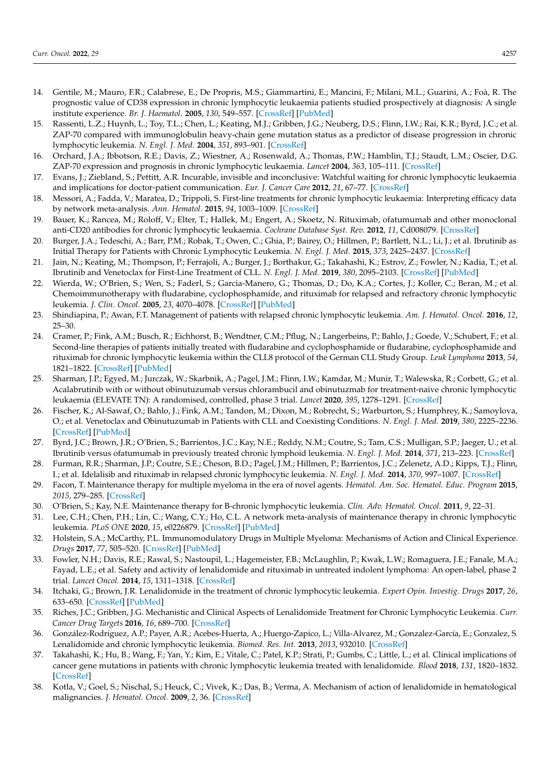- 14. Gentile, M.; Mauro, F.R.; Calabrese, E.; De Propris, M.S.; Giammartini, E.; Mancini, F.; Milani, M.L.; Guarini, A.; Foà, R. The prognostic value of CD38 expression in chronic lymphocytic leukaemia patients studied prospectively at diagnosis: A single institute experience. *Br. J. Haematol.* **2005**, *130*, 549–557. [\[CrossRef\]](http://doi.org/10.1111/j.1365-2141.2005.05659.x) [\[PubMed\]](http://www.ncbi.nlm.nih.gov/pubmed/16098069)
- 15. Rassenti, L.Z.; Huynh, L.; Toy, T.L.; Chen, L.; Keating, M.J.; Gribben, J.G.; Neuberg, D.S.; Flinn, I.W.; Rai, K.R.; Byrd, J.C.; et al. ZAP-70 compared with immunoglobulin heavy-chain gene mutation status as a predictor of disease progression in chronic lymphocytic leukemia. *N. Engl. J. Med.* **2004**, *351*, 893–901. [\[CrossRef\]](http://doi.org/10.1056/NEJMoa040857)
- <span id="page-12-0"></span>16. Orchard, J.A.; Ibbotson, R.E.; Davis, Z.; Wiestner, A.; Rosenwald, A.; Thomas, P.W.; Hamblin, T.J.; Staudt, L.M.; Oscier, D.G. ZAP-70 expression and prognosis in chronic lymphocytic leukaemia. *Lancet* **2004**, *363*, 105–111. [\[CrossRef\]](http://doi.org/10.1016/S0140-6736(03)15260-9)
- <span id="page-12-1"></span>17. Evans, J.; Ziebland, S.; Pettitt, A.R. Incurable, invisible and inconclusive: Watchful waiting for chronic lymphocytic leukaemia and implications for doctor-patient communication. *Eur. J. Cancer Care* **2012**, *21*, 67–77. [\[CrossRef\]](http://doi.org/10.1111/j.1365-2354.2011.01278.x)
- <span id="page-12-2"></span>18. Messori, A.; Fadda, V.; Maratea, D.; Trippoli, S. First-line treatments for chronic lymphocytic leukaemia: Interpreting efficacy data by network meta-analysis. *Ann. Hematol.* **2015**, *94*, 1003–1009. [\[CrossRef\]](http://doi.org/10.1007/s00277-015-2310-6)
- <span id="page-12-3"></span>19. Bauer, K.; Rancea, M.; Roloff, V.; Elter, T.; Hallek, M.; Engert, A.; Skoetz, N. Rituximab, ofatumumab and other monoclonal anti-CD20 antibodies for chronic lymphocytic leukaemia. *Cochrane Database Syst. Rev.* **2012**, *11*, Cd008079. [\[CrossRef\]](http://doi.org/10.1002/14651858.CD008079.pub2)
- <span id="page-12-4"></span>20. Burger, J.A.; Tedeschi, A.; Barr, P.M.; Robak, T.; Owen, C.; Ghia, P.; Bairey, O.; Hillmen, P.; Bartlett, N.L.; Li, J.; et al. Ibrutinib as Initial Therapy for Patients with Chronic Lymphocytic Leukemia. *N. Engl. J. Med.* **2015**, *373*, 2425–2437. [\[CrossRef\]](http://doi.org/10.1056/NEJMoa1509388)
- <span id="page-12-5"></span>21. Jain, N.; Keating, M.; Thompson, P.; Ferrajoli, A.; Burger, J.; Borthakur, G.; Takahashi, K.; Estrov, Z.; Fowler, N.; Kadia, T.; et al. Ibrutinib and Venetoclax for First-Line Treatment of CLL. *N. Engl. J. Med.* **2019**, *380*, 2095–2103. [\[CrossRef\]](http://doi.org/10.1056/NEJMoa1900574) [\[PubMed\]](http://www.ncbi.nlm.nih.gov/pubmed/31141631)
- <span id="page-12-6"></span>22. Wierda, W.; O'Brien, S.; Wen, S.; Faderl, S.; Garcia-Manero, G.; Thomas, D.; Do, K.A.; Cortes, J.; Koller, C.; Beran, M.; et al. Chemoimmunotherapy with fludarabine, cyclophosphamide, and rituximab for relapsed and refractory chronic lymphocytic leukemia. *J. Clin. Oncol.* **2005**, *23*, 4070–4078. [\[CrossRef\]](http://doi.org/10.1200/JCO.2005.12.516) [\[PubMed\]](http://www.ncbi.nlm.nih.gov/pubmed/15767647)
- <span id="page-12-7"></span>23. Shindiapina, P.; Awan, F.T. Management of patients with relapsed chronic lymphocytic leukemia. *Am. J. Hematol. Oncol.* **2016**, *12*, 25–30.
- <span id="page-12-8"></span>24. Cramer, P.; Fink, A.M.; Busch, R.; Eichhorst, B.; Wendtner, C.M.; Pflug, N.; Langerbeins, P.; Bahlo, J.; Goede, V.; Schubert, F.; et al. Second-line therapies of patients initially treated with fludarabine and cyclophosphamide or fludarabine, cyclophosphamide and rituximab for chronic lymphocytic leukemia within the CLL8 protocol of the German CLL Study Group. *Leuk Lymphoma* **2013**, *54*, 1821–1822. [\[CrossRef\]](http://doi.org/10.3109/10428194.2013.796050) [\[PubMed\]](http://www.ncbi.nlm.nih.gov/pubmed/23631654)
- <span id="page-12-9"></span>25. Sharman, J.P.; Egyed, M.; Jurczak, W.; Skarbnik, A.; Pagel, J.M.; Flinn, I.W.; Kamdar, M.; Munir, T.; Walewska, R.; Corbett, G.; et al. Acalabrutinib with or without obinutuzumab versus chlorambucil and obinutuzmab for treatment-naive chronic lymphocytic leukaemia (ELEVATE TN): A randomised, controlled, phase 3 trial. *Lancet* **2020**, *395*, 1278–1291. [\[CrossRef\]](http://doi.org/10.1016/S0140-6736(20)30262-2)
- <span id="page-12-10"></span>26. Fischer, K.; Al-Sawaf, O.; Bahlo, J.; Fink, A.M.; Tandon, M.; Dixon, M.; Robrecht, S.; Warburton, S.; Humphrey, K.; Samoylova, O.; et al. Venetoclax and Obinutuzumab in Patients with CLL and Coexisting Conditions. *N. Engl. J. Med.* **2019**, *380*, 2225–2236. [\[CrossRef\]](http://doi.org/10.1056/NEJMoa1815281) [\[PubMed\]](http://www.ncbi.nlm.nih.gov/pubmed/31166681)
- <span id="page-12-11"></span>27. Byrd, J.C.; Brown, J.R.; O'Brien, S.; Barrientos, J.C.; Kay, N.E.; Reddy, N.M.; Coutre, S.; Tam, C.S.; Mulligan, S.P.; Jaeger, U.; et al. Ibrutinib versus ofatumumab in previously treated chronic lymphoid leukemia. *N. Engl. J. Med.* **2014**, *371*, 213–223. [\[CrossRef\]](http://doi.org/10.1056/NEJMoa1400376)
- <span id="page-12-12"></span>28. Furman, R.R.; Sharman, J.P.; Coutre, S.E.; Cheson, B.D.; Pagel, J.M.; Hillmen, P.; Barrientos, J.C.; Zelenetz, A.D.; Kipps, T.J.; Flinn, I.; et al. Idelalisib and rituximab in relapsed chronic lymphocytic leukemia. *N. Engl. J. Med.* **2014**, *370*, 997–1007. [\[CrossRef\]](http://doi.org/10.1056/NEJMoa1315226)
- <span id="page-12-13"></span>29. Facon, T. Maintenance therapy for multiple myeloma in the era of novel agents. *Hematol. Am. Soc. Hematol. Educ. Program* **2015**, *2015*, 279–285. [\[CrossRef\]](http://doi.org/10.1182/asheducation-2015.1.279)
- <span id="page-12-14"></span>30. O'Brien, S.; Kay, N.E. Maintenance therapy for B-chronic lymphocytic leukemia. *Clin. Adv. Hematol. Oncol.* **2011**, *9*, 22–31.
- <span id="page-12-15"></span>31. Lee, C.H.; Chen, P.H.; Lin, C.; Wang, C.Y.; Ho, C.L. A network meta-analysis of maintenance therapy in chronic lymphocytic leukemia. *PLoS ONE* **2020**, *15*, e0226879. [\[CrossRef\]](http://doi.org/10.1371/journal.pone.0226879) [\[PubMed\]](http://www.ncbi.nlm.nih.gov/pubmed/31995577)
- <span id="page-12-16"></span>32. Holstein, S.A.; McCarthy, P.L. Immunomodulatory Drugs in Multiple Myeloma: Mechanisms of Action and Clinical Experience. *Drugs* **2017**, *77*, 505–520. [\[CrossRef\]](http://doi.org/10.1007/s40265-017-0689-1) [\[PubMed\]](http://www.ncbi.nlm.nih.gov/pubmed/28205024)
- 33. Fowler, N.H.; Davis, R.E.; Rawal, S.; Nastoupil, L.; Hagemeister, F.B.; McLaughlin, P.; Kwak, L.W.; Romaguera, J.E.; Fanale, M.A.; Fayad, L.E.; et al. Safety and activity of lenalidomide and rituximab in untreated indolent lymphoma: An open-label, phase 2 trial. *Lancet Oncol.* **2014**, *15*, 1311–1318. [\[CrossRef\]](http://doi.org/10.1016/S1470-2045(14)70455-3)
- 34. Itchaki, G.; Brown, J.R. Lenalidomide in the treatment of chronic lymphocytic leukemia. *Expert Opin. Investig. Drugs* **2017**, *26*, 633–650. [\[CrossRef\]](http://doi.org/10.1080/13543784.2017.1313230) [\[PubMed\]](http://www.ncbi.nlm.nih.gov/pubmed/28388253)
- <span id="page-12-17"></span>35. Riches, J.C.; Gribben, J.G. Mechanistic and Clinical Aspects of Lenalidomide Treatment for Chronic Lymphocytic Leukemia. *Curr. Cancer Drug Targets* **2016**, *16*, 689–700. [\[CrossRef\]](http://doi.org/10.2174/1568009616666160408145741)
- <span id="page-12-18"></span>36. González-Rodríguez, A.P.; Payer, A.R.; Acebes-Huerta, A.; Huergo-Zapico, L.; Villa-Alvarez, M.; Gonzalez-García, E.; Gonzalez, S. Lenalidomide and chronic lymphocytic leukemia. *Biomed. Res. Int.* **2013**, *2013*, 932010. [\[CrossRef\]](http://doi.org/10.1155/2013/932010)
- <span id="page-12-19"></span>37. Takahashi, K.; Hu, B.; Wang, F.; Yan, Y.; Kim, E.; Vitale, C.; Patel, K.P.; Strati, P.; Gumbs, C.; Little, L.; et al. Clinical implications of cancer gene mutations in patients with chronic lymphocytic leukemia treated with lenalidomide. *Blood* **2018**, *131*, 1820–1832. [\[CrossRef\]](http://doi.org/10.1182/blood-2017-11-817296)
- <span id="page-12-20"></span>38. Kotla, V.; Goel, S.; Nischal, S.; Heuck, C.; Vivek, K.; Das, B.; Verma, A. Mechanism of action of lenalidomide in hematological malignancies. *J. Hematol. Oncol.* **2009**, *2*, 36. [\[CrossRef\]](http://doi.org/10.1186/1756-8722-2-36)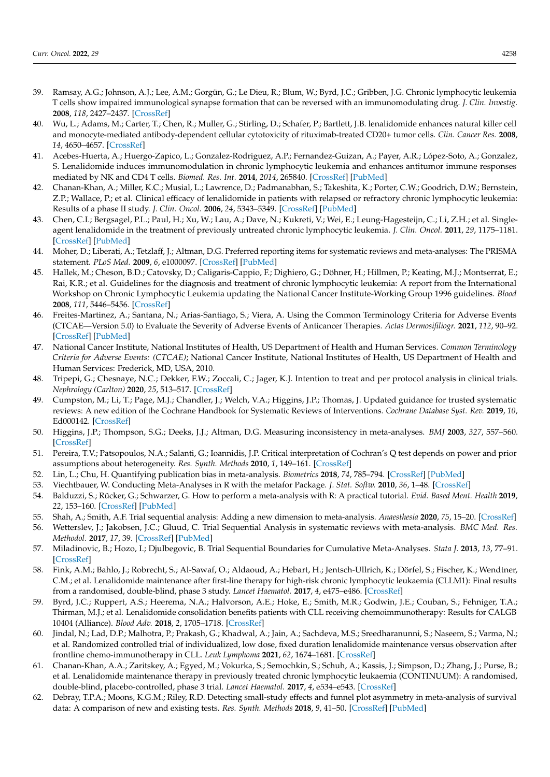- <span id="page-13-0"></span>39. Ramsay, A.G.; Johnson, A.J.; Lee, A.M.; Gorgün, G.; Le Dieu, R.; Blum, W.; Byrd, J.C.; Gribben, J.G. Chronic lymphocytic leukemia T cells show impaired immunological synapse formation that can be reversed with an immunomodulating drug. *J. Clin. Investig.* **2008**, *118*, 2427–2437. [\[CrossRef\]](http://doi.org/10.1172/JCI35017)
- 40. Wu, L.; Adams, M.; Carter, T.; Chen, R.; Muller, G.; Stirling, D.; Schafer, P.; Bartlett, J.B. lenalidomide enhances natural killer cell and monocyte-mediated antibody-dependent cellular cytotoxicity of rituximab-treated CD20+ tumor cells. *Clin. Cancer Res.* **2008**, *14*, 4650–4657. [\[CrossRef\]](http://doi.org/10.1158/1078-0432.CCR-07-4405)
- <span id="page-13-1"></span>41. Acebes-Huerta, A.; Huergo-Zapico, L.; Gonzalez-Rodriguez, A.P.; Fernandez-Guizan, A.; Payer, A.R.; López-Soto, A.; Gonzalez, S. Lenalidomide induces immunomodulation in chronic lymphocytic leukemia and enhances antitumor immune responses mediated by NK and CD4 T cells. *Biomed. Res. Int.* **2014**, *2014*, 265840. [\[CrossRef\]](http://doi.org/10.1155/2014/265840) [\[PubMed\]](http://www.ncbi.nlm.nih.gov/pubmed/25313353)
- <span id="page-13-2"></span>42. Chanan-Khan, A.; Miller, K.C.; Musial, L.; Lawrence, D.; Padmanabhan, S.; Takeshita, K.; Porter, C.W.; Goodrich, D.W.; Bernstein, Z.P.; Wallace, P.; et al. Clinical efficacy of lenalidomide in patients with relapsed or refractory chronic lymphocytic leukemia: Results of a phase II study. *J. Clin. Oncol.* **2006**, *24*, 5343–5349. [\[CrossRef\]](http://doi.org/10.1200/JCO.2005.05.0401) [\[PubMed\]](http://www.ncbi.nlm.nih.gov/pubmed/17088571)
- <span id="page-13-3"></span>43. Chen, C.I.; Bergsagel, P.L.; Paul, H.; Xu, W.; Lau, A.; Dave, N.; Kukreti, V.; Wei, E.; Leung-Hagesteijn, C.; Li, Z.H.; et al. Singleagent lenalidomide in the treatment of previously untreated chronic lymphocytic leukemia. *J. Clin. Oncol.* **2011**, *29*, 1175–1181. [\[CrossRef\]](http://doi.org/10.1200/JCO.2010.29.8133) [\[PubMed\]](http://www.ncbi.nlm.nih.gov/pubmed/21189385)
- <span id="page-13-4"></span>44. Moher, D.; Liberati, A.; Tetzlaff, J.; Altman, D.G. Preferred reporting items for systematic reviews and meta-analyses: The PRISMA statement. *PLoS Med.* **2009**, *6*, e1000097. [\[CrossRef\]](http://doi.org/10.1371/journal.pmed.1000097) [\[PubMed\]](http://www.ncbi.nlm.nih.gov/pubmed/19621072)
- <span id="page-13-5"></span>45. Hallek, M.; Cheson, B.D.; Catovsky, D.; Caligaris-Cappio, F.; Dighiero, G.; Döhner, H.; Hillmen, P.; Keating, M.J.; Montserrat, E.; Rai, K.R.; et al. Guidelines for the diagnosis and treatment of chronic lymphocytic leukemia: A report from the International Workshop on Chronic Lymphocytic Leukemia updating the National Cancer Institute-Working Group 1996 guidelines. *Blood* **2008**, *111*, 5446–5456. [\[CrossRef\]](http://doi.org/10.1182/blood-2007-06-093906)
- <span id="page-13-6"></span>46. Freites-Martinez, A.; Santana, N.; Arias-Santiago, S.; Viera, A. Using the Common Terminology Criteria for Adverse Events (CTCAE—Version 5.0) to Evaluate the Severity of Adverse Events of Anticancer Therapies. *Actas Dermosifiliogr.* **2021**, *112*, 90–92. [\[CrossRef\]](http://doi.org/10.1016/j.ad.2019.05.009) [\[PubMed\]](http://www.ncbi.nlm.nih.gov/pubmed/32891586)
- <span id="page-13-22"></span><span id="page-13-7"></span>47. National Cancer Institute, National Institutes of Health, US Department of Health and Human Services. *Common Terminology Criteria for Adverse Events: (CTCAE)*; National Cancer Institute, National Institutes of Health, US Department of Health and Human Services: Frederick, MD, USA, 2010.
- <span id="page-13-23"></span><span id="page-13-8"></span>48. Tripepi, G.; Chesnaye, N.C.; Dekker, F.W.; Zoccali, C.; Jager, K.J. Intention to treat and per protocol analysis in clinical trials. *Nephrology (Carlton)* **2020**, *25*, 513–517. [\[CrossRef\]](http://doi.org/10.1111/nep.13709)
- <span id="page-13-24"></span><span id="page-13-9"></span>49. Cumpston, M.; Li, T.; Page, M.J.; Chandler, J.; Welch, V.A.; Higgins, J.P.; Thomas, J. Updated guidance for trusted systematic reviews: A new edition of the Cochrane Handbook for Systematic Reviews of Interventions. *Cochrane Database Syst. Rev.* **2019**, *10*, Ed000142. [\[CrossRef\]](http://doi.org/10.1002/14651858.ED000142)
- <span id="page-13-21"></span><span id="page-13-10"></span>50. Higgins, J.P.; Thompson, S.G.; Deeks, J.J.; Altman, D.G. Measuring inconsistency in meta-analyses. *BMJ* **2003**, *327*, 557–560. [\[CrossRef\]](http://doi.org/10.1136/bmj.327.7414.557)
- <span id="page-13-11"></span>51. Pereira, T.V.; Patsopoulos, N.A.; Salanti, G.; Ioannidis, J.P. Critical interpretation of Cochran's Q test depends on power and prior assumptions about heterogeneity. *Res. Synth. Methods* **2010**, *1*, 149–161. [\[CrossRef\]](http://doi.org/10.1002/jrsm.13)
- <span id="page-13-12"></span>52. Lin, L.; Chu, H. Quantifying publication bias in meta-analysis. *Biometrics* **2018**, *74*, 785–794. [\[CrossRef\]](http://doi.org/10.1111/biom.12817) [\[PubMed\]](http://www.ncbi.nlm.nih.gov/pubmed/29141096)
- <span id="page-13-13"></span>53. Viechtbauer, W. Conducting Meta-Analyses in R with the metafor Package. *J. Stat. Softw.* **2010**, *36*, 1–48. [\[CrossRef\]](http://doi.org/10.18637/jss.v036.i03)
- <span id="page-13-14"></span>54. Balduzzi, S.; Rücker, G.; Schwarzer, G. How to perform a meta-analysis with R: A practical tutorial. *Evid. Based Ment. Health* **2019**, *22*, 153–160. [\[CrossRef\]](http://doi.org/10.1136/ebmental-2019-300117) [\[PubMed\]](http://www.ncbi.nlm.nih.gov/pubmed/31563865)
- <span id="page-13-15"></span>55. Shah, A.; Smith, A.F. Trial sequential analysis: Adding a new dimension to meta-analysis. *Anaesthesia* **2020**, *75*, 15–20. [\[CrossRef\]](http://doi.org/10.1111/anae.14705)
- <span id="page-13-16"></span>56. Wetterslev, J.; Jakobsen, J.C.; Gluud, C. Trial Sequential Analysis in systematic reviews with meta-analysis. *BMC Med. Res. Methodol.* **2017**, *17*, 39. [\[CrossRef\]](http://doi.org/10.1186/s12874-017-0315-7) [\[PubMed\]](http://www.ncbi.nlm.nih.gov/pubmed/28264661)
- <span id="page-13-17"></span>57. Miladinovic, B.; Hozo, I.; Djulbegovic, B. Trial Sequential Boundaries for Cumulative Meta-Analyses. *Stata J.* **2013**, *13*, 77–91. [\[CrossRef\]](http://doi.org/10.1177/1536867X1301300106)
- <span id="page-13-18"></span>58. Fink, A.M.; Bahlo, J.; Robrecht, S.; Al-Sawaf, O.; Aldaoud, A.; Hebart, H.; Jentsch-Ullrich, K.; Dörfel, S.; Fischer, K.; Wendtner, C.M.; et al. Lenalidomide maintenance after first-line therapy for high-risk chronic lymphocytic leukaemia (CLLM1): Final results from a randomised, double-blind, phase 3 study. *Lancet Haematol.* **2017**, *4*, e475–e486. [\[CrossRef\]](http://doi.org/10.1016/S2352-3026(17)30171-0)
- <span id="page-13-26"></span>59. Byrd, J.C.; Ruppert, A.S.; Heerema, N.A.; Halvorson, A.E.; Hoke, E.; Smith, M.R.; Godwin, J.E.; Couban, S.; Fehniger, T.A.; Thirman, M.J.; et al. Lenalidomide consolidation benefits patients with CLL receiving chemoimmunotherapy: Results for CALGB 10404 (Alliance). *Blood Adv.* **2018**, *2*, 1705–1718. [\[CrossRef\]](http://doi.org/10.1182/bloodadvances.2017015396)
- <span id="page-13-19"></span>60. Jindal, N.; Lad, D.P.; Malhotra, P.; Prakash, G.; Khadwal, A.; Jain, A.; Sachdeva, M.S.; Sreedharanunni, S.; Naseem, S.; Varma, N.; et al. Randomized controlled trial of individualized, low dose, fixed duration lenalidomide maintenance versus observation after frontline chemo-immunotherapy in CLL. *Leuk Lymphoma* **2021**, *62*, 1674–1681. [\[CrossRef\]](http://doi.org/10.1080/10428194.2021.1885668)
- <span id="page-13-20"></span>61. Chanan-Khan, A.A.; Zaritskey, A.; Egyed, M.; Vokurka, S.; Semochkin, S.; Schuh, A.; Kassis, J.; Simpson, D.; Zhang, J.; Purse, B.; et al. Lenalidomide maintenance therapy in previously treated chronic lymphocytic leukaemia (CONTINUUM): A randomised, double-blind, placebo-controlled, phase 3 trial. *Lancet Haematol.* **2017**, *4*, e534–e543. [\[CrossRef\]](http://doi.org/10.1016/S2352-3026(17)30168-0)
- <span id="page-13-25"></span>62. Debray, T.P.A.; Moons, K.G.M.; Riley, R.D. Detecting small-study effects and funnel plot asymmetry in meta-analysis of survival data: A comparison of new and existing tests. *Res. Synth. Methods* **2018**, *9*, 41–50. [\[CrossRef\]](http://doi.org/10.1002/jrsm.1266) [\[PubMed\]](http://www.ncbi.nlm.nih.gov/pubmed/28975717)